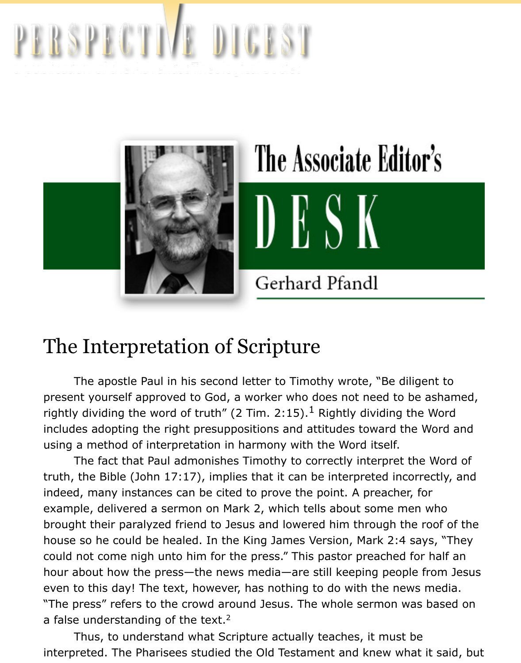

# The Interpretation of Scripture

The apostle Paul in his second letter to Timothy wrote, "Be diligent present yourself approved to God, a worker who does not need to be ash rightly dividing the word of truth" (2 Tim. 2:15). $^{\rm 1}$  Rightly dividing the Wc includes adopting the right presuppositions and attitudes toward the Wor using a method of interpretation in harmony with the Word itself.

The fact that Paul admonishes Timothy to correctly interpret the Wo truth, the Bible (John  $17:17$ ), implies that it can be interpreted incorrectly indeed, many instances can be cited to prove the point. A preacher, for example, delivered a sermon on Mark 2, which tells about some men who brought their paralyzed friend to Jesus and lowered him through the roof house so he could be healed. In the King James Version, Mark 2:4 says, could not come nigh unto him for the press." This pastor preached for ha hour about how the press—the news media—are still keeping people fron even to this day! The text, however, has nothing to do with the news meer "The press" refers to the crowd around Jesus. The whole sermon was bas a false understanding of the text.<sup>2</sup>

 Thus, to understand what Scripture actually teaches, it must be interpreted. The Pharisees studied the Old Testament and knew what it s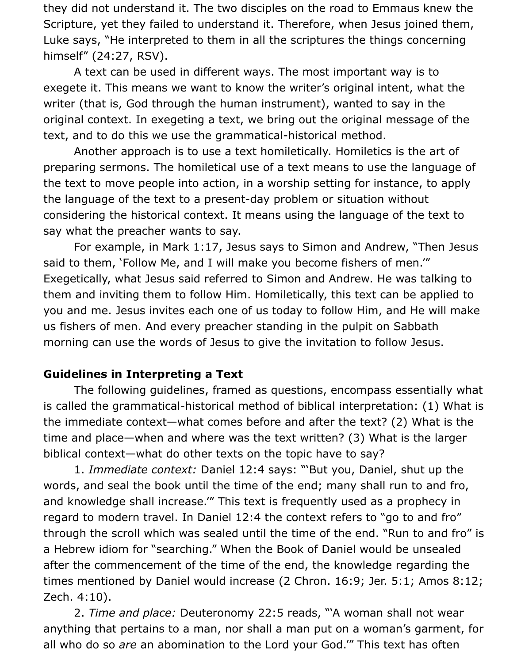they did not understand it. The two disciples on the road to Emmaus knew the Scripture, yet they failed to understand it. Therefore, when Jesus joined them, Luke says, "He interpreted to them in all the scriptures the things concerning himself" (24:27, RSV).

 A text can be used in different ways. The most important way is to exegete it. This means we want to know the writer's original intent, what the writer (that is, God through the human instrument), wanted to say in the original context. In exegeting a text, we bring out the original message of the text, and to do this we use the grammatical-historical method.

 Another approach is to use a text homiletically. Homiletics is the art of preparing sermons. The homiletical use of a text means to use the language of the text to move people into action, in a worship setting for instance, to apply the language of the text to a present-day problem or situation without considering the historical context. It means using the language of the text to say what the preacher wants to say.

 For example, in Mark 1:17, Jesus says to Simon and Andrew, "Then Jesus said to them, 'Follow Me, and I will make you become fishers of men.'" Exegetically, what Jesus said referred to Simon and Andrew. He was talking to them and inviting them to follow Him. Homiletically, this text can be applied to you and me. Jesus invites each one of us today to follow Him, and He will make us fishers of men. And every preacher standing in the pulpit on Sabbath morning can use the words of Jesus to give the invitation to follow Jesus.

#### **Guidelines in Interpreting a Text**

 The following guidelines, framed as questions, encompass essentially what is called the grammatical-historical method of biblical interpretation: (1) What is the immediate context—what comes before and after the text? (2) What is the time and place—when and where was the text written? (3) What is the larger biblical context—what do other texts on the topic have to say?

 1. *Immediate context:* Daniel 12:4 says: "'But you, Daniel, shut up the words, and seal the book until the time of the end; many shall run to and fro, and knowledge shall increase.'" This text is frequently used as a prophecy in regard to modern travel. In Daniel 12:4 the context refers to "go to and fro" through the scroll which was sealed until the time of the end. "Run to and fro" is a Hebrew idiom for "searching." When the Book of Daniel would be unsealed after the commencement of the time of the end, the knowledge regarding the times mentioned by Daniel would increase (2 Chron. 16:9; Jer. 5:1; Amos 8:12; Zech. 4:10).

 2. *Time and place:* Deuteronomy 22:5 reads, "'A woman shall not wear anything that pertains to a man, nor shall a man put on a woman's garment, for all who do so *are* an abomination to the Lord your God.'" This text has often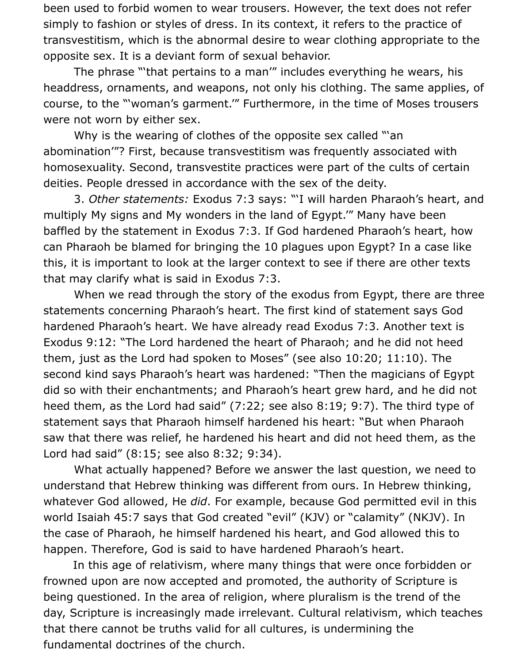been used to forbid women to wear trousers. However, the text does not refer simply to fashion or styles of dress. In its context, it refers to the practice of transvestitism, which is the abnormal desire to wear clothing appropriate to the opposite sex. It is a deviant form of sexual behavior.

 The phrase "'that pertains to a man'" includes everything he wears, his headdress, ornaments, and weapons, not only his clothing. The same applies, of course, to the "'woman's garment.'" Furthermore, in the time of Moses trousers were not worn by either sex.

 Why is the wearing of clothes of the opposite sex called "'an abomination'"? First, because transvestitism was frequently associated with homosexuality. Second, transvestite practices were part of the cults of certain deities. People dressed in accordance with the sex of the deity.

 3. *Other statements:* Exodus 7:3 says: "'I will harden Pharaoh's heart, and multiply My signs and My wonders in the land of Egypt.'" Many have been baffled by the statement in Exodus 7:3. If God hardened Pharaoh's heart, how can Pharaoh be blamed for bringing the 10 plagues upon Egypt? In a case like this, it is important to look at the larger context to see if there are other texts that may clarify what is said in Exodus 7:3.

 When we read through the story of the exodus from Egypt, there are three statements concerning Pharaoh's heart. The first kind of statement says God hardened Pharaoh's heart. We have already read Exodus 7:3. Another text is Exodus 9:12: "The Lord hardened the heart of Pharaoh; and he did not heed them, just as the Lord had spoken to Moses" (see also 10:20; 11:10). The second kind says Pharaoh's heart was hardened: "Then the magicians of Egypt did so with their enchantments; and Pharaoh's heart grew hard, and he did not heed them, as the Lord had said" (7:22; see also 8:19; 9:7). The third type of statement says that Pharaoh himself hardened his heart: "But when Pharaoh saw that there was relief, he hardened his heart and did not heed them, as the Lord had said" (8:15; see also 8:32; 9:34).

 What actually happened? Before we answer the last question, we need to understand that Hebrew thinking was different from ours. In Hebrew thinking, whatever God allowed, He *did*. For example, because God permitted evil in this world Isaiah 45:7 says that God created "evil" (KJV) or "calamity" (NKJV). In the case of Pharaoh, he himself hardened his heart, and God allowed this to happen. Therefore, God is said to have hardened Pharaoh's heart.

In this age of relativism, where many things that were once forbidden or frowned upon are now accepted and promoted, the authority of Scripture is being questioned. In the area of religion, where pluralism is the trend of the day, Scripture is increasingly made irrelevant. Cultural relativism, which teaches that there cannot be truths valid for all cultures, is undermining the fundamental doctrines of the church.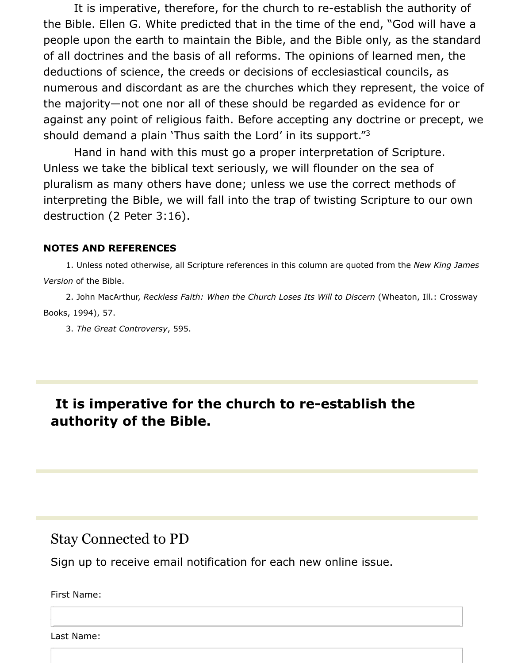It is imperative, therefore, for the church to re-establish the authority of the Bible. Ellen G. White predicted that in the time of the end, "God will have a people upon the earth to maintain the Bible, and the Bible only, as the standard of all doctrines and the basis of all reforms. The opinions of learned men, the deductions of science, the creeds or decisions of ecclesiastical councils, as numerous and discordant as are the churches which they represent, the voice of the majority—not one nor all of these should be regarded as evidence for or against any point of religious faith. Before accepting any doctrine or precept, we should demand a plain 'Thus saith the Lord' in its support."<sup>3</sup>

 Hand in hand with this must go a proper interpretation of Scripture. Unless we take the biblical text seriously, we will flounder on the sea of pluralism as many others have done; unless we use the correct methods of interpreting the Bible, we will fall into the trap of twisting Scripture to our own destruction (2 Peter 3:16).

#### **NOTES AND REFERENCES**

 1. Unless noted otherwise, all Scripture references in this column are quoted from the *New King James Version* of the Bible.

 2. John MacArthur, *Reckless Faith: When the Church Loses Its Will to Discern* (Wheaton, Ill.: Crossway Books, 1994), 57.

3. *The Great Controversy*, 595.

### **It is imperative for the church to re-establish the authority of the Bible.**

### Stay Connected to PD

Sign up to receive email notification for each new online issue.

#### First Name:

Last Name: